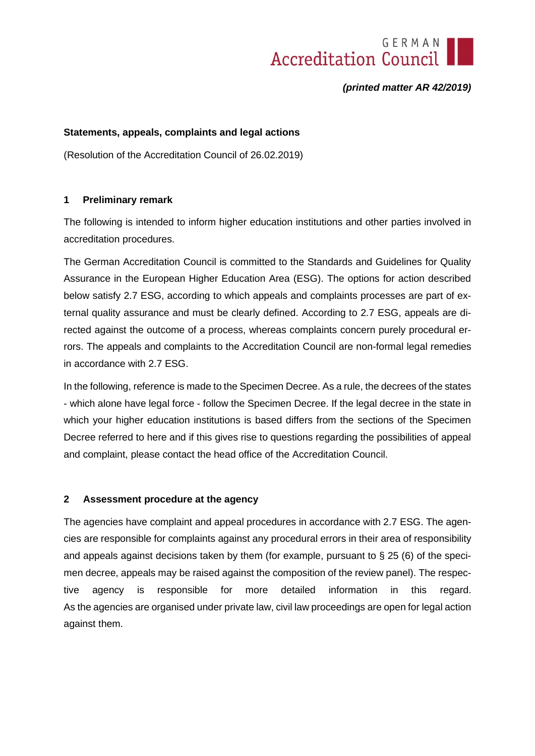

*(printed matter AR 42/2019)*

## **Statements, appeals, complaints and legal actions**

(Resolution of the Accreditation Council of 26.02.2019)

### **1 Preliminary remark**

The following is intended to inform higher education institutions and other parties involved in accreditation procedures.

The German Accreditation Council is committed to the Standards and Guidelines for Quality Assurance in the European Higher Education Area (ESG). The options for action described below satisfy 2.7 ESG, according to which appeals and complaints processes are part of external quality assurance and must be clearly defined. According to 2.7 ESG, appeals are directed against the outcome of a process, whereas complaints concern purely procedural errors. The appeals and complaints to the Accreditation Council are non-formal legal remedies in accordance with 2.7 ESG.

In the following, reference is made to the Specimen Decree. As a rule, the decrees of the states - which alone have legal force - follow the Specimen Decree. If the legal decree in the state in which your higher education institutions is based differs from the sections of the Specimen Decree referred to here and if this gives rise to questions regarding the possibilities of appeal and complaint, please contact the head office of the Accreditation Council.

#### **2 Assessment procedure at the agency**

The agencies have complaint and appeal procedures in accordance with 2.7 ESG. The agencies are responsible for complaints against any procedural errors in their area of responsibility and appeals against decisions taken by them (for example, pursuant to  $\S 25$  (6) of the specimen decree, appeals may be raised against the composition of the review panel). The respective agency is responsible for more detailed information in this regard. As the agencies are organised under private law, civil law proceedings are open for legal action against them.